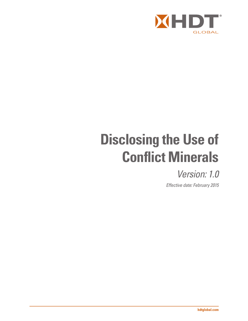

# **Disclosing the Use of Conflict Minerals**

## *Version: 1.0*

*Effective date: February 2015*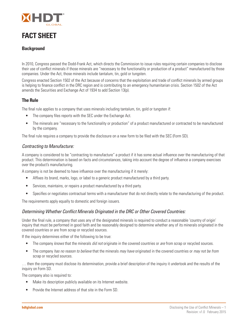

### **FACT SHEET**

#### **Background**

In 2010, Congress passed the Dodd-Frank Act, which directs the Commission to issue rules requiring certain companies to disclose their use of conflict minerals if those minerals are "necessary to the functionality or production of a product" manufactured by those companies. Under the Act, those minerals include tantalum, tin, gold or tungsten.

Congress enacted Section 1502 of the Act because of concerns that the exploitation and trade of conflict minerals by armed groups is helping to finance conflict in the DRC region and is contributing to an emergency humanitarian crisis. Section 1502 of the Act amends the Securities and Exchange Act of 1934 to add Section 13(p).

#### **The Rule**

The final rule applies to a company that uses minerals including tantalum, tin, gold or tungsten if:

- The company files reports with the SEC under the Exchange Act.
- The minerals are "necessary to the functionality or production" of a product manufactured or contracted to be manufactured by the company.

The final rule requires a company to provide the disclosure on a new form to be filed with the SEC (Form SD).

#### *Contracting to Manufacture:*

A company is considered to be "contracting to manufacture" a product if it has some actual influence over the manufacturing of that product. This determination is based on facts and circumstances, taking into account the degree of influence a company exercises over the product's manufacturing.

A company is not be deemed to have influence over the manufacturing if it merely:

- Affixes its brand, marks, logo, or label to a generic product manufactured by a third party.
- Services, maintains, or repairs a product manufactured by a third party.
- Specifies or negotiates contractual terms with a manufacturer that do not directly relate to the manufacturing of the product.

The requirements apply equally to domestic and foreign issuers.

#### *Determining Whether Conflict Minerals Originated in the DRC or Other Covered Countries:*

Under the final rule, a company that uses any of the designated minerals is required to conduct a reasonable 'country of origin' inquiry that must be performed in good faith and be reasonably designed to determine whether any of its minerals originated in the covered countries or are from scrap or recycled sources.

If the inquiry determines either of the following to be true:

- The company *knows* that the minerals *did not* originate in the covered countries or *are* from scrap or recycled sources.
- • The company *has no reason to believe* that the minerals *may have* originated in the covered countries or *may not be from*  scrap or recycled sources.

… then the company must disclose its determination, provide a brief description of the inquiry it undertook and the results of the inquiry on Form SD.

The company also is required to:

- Make its description publicly available on its Internet website.
- Provide the Internet address of that site in the Form SD.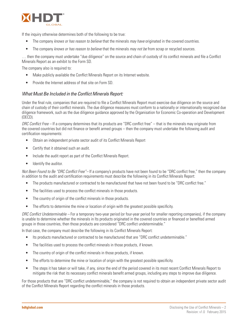

If the inquiry otherwise determines both of the following to be true:

- The company *knows or has reason to believe* that the minerals *may have* originated in the covered countries.
- The company *knows or has reason to believe* that the minerals *may not be* from scrap or recycled sources.

… then the company must undertake "due diligence" on the source and chain of custody of its conflict minerals and file a Conflict Minerals Report as an exhibit to the Form SD.

The company also is required to:

- Make publicly available the Conflict Minerals Report on its Internet website.
- Provide the Internet address of that site on Form SD.

#### *What Must Be Included in the Conflict Minerals Report:*

Under the final rule, companies that are required to file a Conflict Minerals Report must exercise due diligence on the source and chain of custody of their conflict minerals. The due diligence measures must conform to a nationally or internationally recognized due diligence framework, such as the due diligence guidance approved by the Organisation for Economic Co-operation and Development (OECD).

*DRC Conflict Free –* If a company determines that its products are "DRC conflict free" – that is the minerals may originate from the covered countries but did not finance or benefit armed groups – then the company must undertake the following audit and certification requirements:

- • Obtain an independent private sector audit of its Conflict Minerals Report
- Certify that it obtained such an audit.
- Include the audit report as part of the Conflict Minerals Report.
- Identify the auditor.

*Not Been Found to Be "DRC Conflict Free"*–If a company's products have not been found to be "DRC conflict free," then the company in addition to the audit and certification requirements must describe the following in its Conflict Minerals Report:

- The products manufactured or contracted to be manufactured that have not been found to be "DRC conflict free."
- The facilities used to process the conflict minerals in those products.
- The country of origin of the conflict minerals in those products.
- The efforts to determine the mine or location of origin with the greatest possible specificity.

*DRC Conflict Undeterminable –* For a temporary two-year period (or four-year period for smaller reporting companies), if the company is unable to determine whether the minerals in Its products originated in the covered countries or financed or benefited armed groups in those countries, then those products are considered "DRC conflict undeterminable."

In that case, the company must describe the following in its Conflict Minerals Report:

- Its products manufactured or contracted to be manufactured that are "DRC conflict undeterminable."
- The facilities used to process the conflict minerals in those products, if known.
- The country of origin of the conflict minerals in those products, if known.
- The efforts to determine the mine or location of origin with the greatest possible specificity.
- The steps it has taken or will take, if any, since the end of the period covered in its most recent Conflict Minerals Report to mitigate the risk that its necessary conflict minerals benefit armed groups, including any steps to improve due diligence.

For those products that are "DRC conflict undeterminable," the company is not required to obtain an independent private sector audit of the Conflict Minerals Report regarding the conflict minerals in those products.